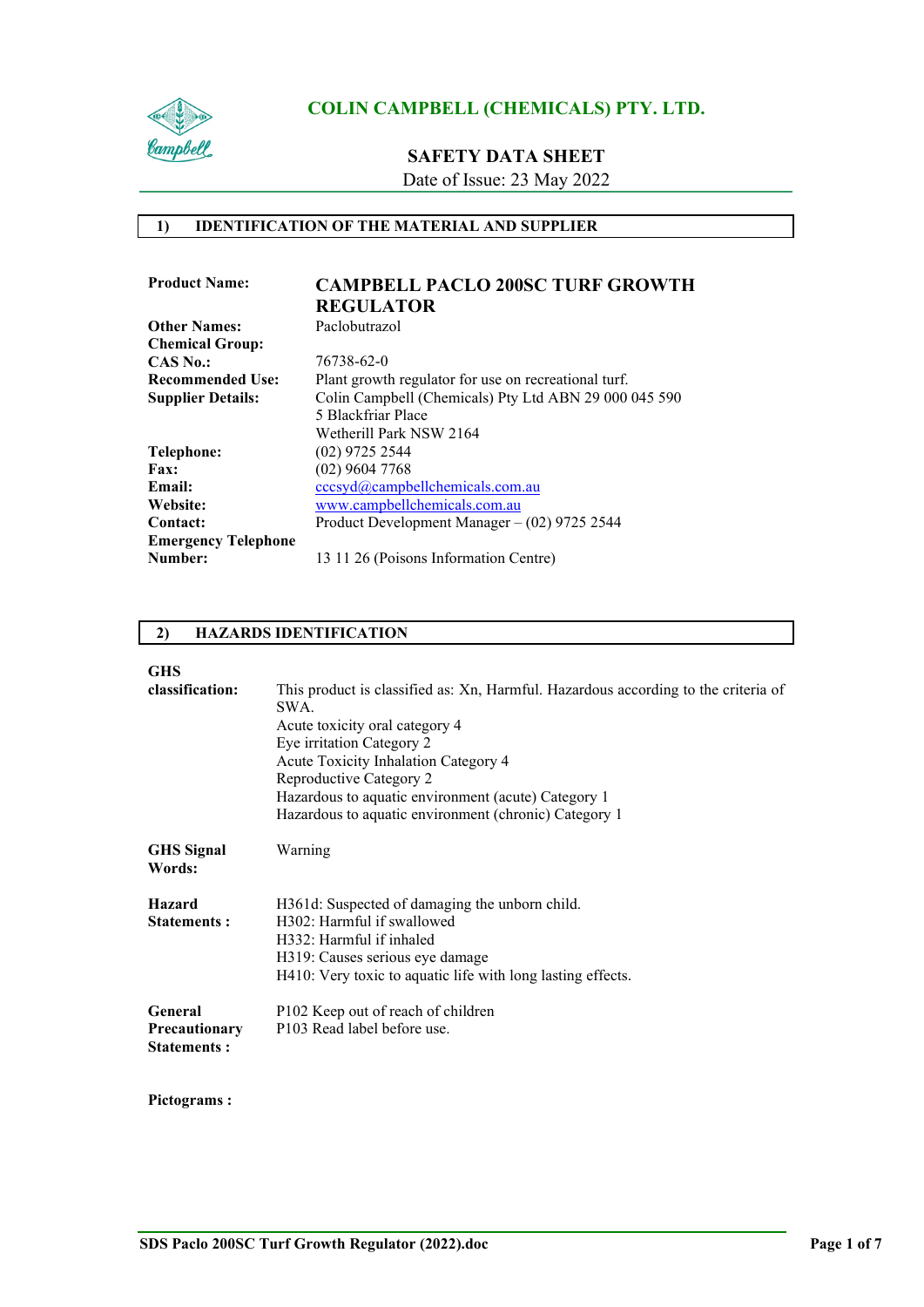

## **SAFETY DATA SHEET**

Date of Issue: 23 May 2022

## **1) IDENTIFICATION OF THE MATERIAL AND SUPPLIER**

| <b>Product Name:</b>       | <b>CAMPBELL PACLO 200SC TURF GROWTH</b>               |
|----------------------------|-------------------------------------------------------|
|                            | <b>REGULATOR</b>                                      |
| <b>Other Names:</b>        | Paclobutrazol                                         |
| <b>Chemical Group:</b>     |                                                       |
| $CAS\ No.$                 | 76738-62-0                                            |
| <b>Recommended Use:</b>    | Plant growth regulator for use on recreational turf.  |
| <b>Supplier Details:</b>   | Colin Campbell (Chemicals) Pty Ltd ABN 29 000 045 590 |
|                            | 5 Blackfriar Place                                    |
|                            | Wetherill Park NSW 2164                               |
| Telephone:                 | $(02)$ 9725 2544                                      |
| Fax:                       | $(02)$ 9604 7768                                      |
| Email:                     | cccsyd@campbellchemicals.com.au                       |
| Website:                   | www.campbellchemicals.com.au                          |
| <b>Contact:</b>            | Product Development Manager $-$ (02) 9725 2544        |
| <b>Emergency Telephone</b> |                                                       |
| Number:                    | 13 11 26 (Poisons Information Centre)                 |

## **2) HAZARDS IDENTIFICATION**

**GHS** 

| uпэ                                        |                                                                                            |
|--------------------------------------------|--------------------------------------------------------------------------------------------|
| classification:                            | This product is classified as: Xn, Harmful. Hazardous according to the criteria of<br>SWA. |
|                                            | Acute toxicity oral category 4                                                             |
|                                            | Eye irritation Category 2                                                                  |
|                                            | Acute Toxicity Inhalation Category 4                                                       |
|                                            | Reproductive Category 2                                                                    |
|                                            | Hazardous to aquatic environment (acute) Category 1                                        |
|                                            | Hazardous to aquatic environment (chronic) Category 1                                      |
| <b>GHS</b> Signal<br>Words:                | Warning                                                                                    |
| <b>Hazard</b>                              | H361d: Suspected of damaging the unborn child.                                             |
| <b>Statements:</b>                         | H302: Harmful if swallowed                                                                 |
|                                            | H332: Harmful if inhaled                                                                   |
|                                            | H319: Causes serious eye damage                                                            |
|                                            | H410: Very toxic to aquatic life with long lasting effects.                                |
| General                                    | P102 Keep out of reach of children                                                         |
| <b>Precautionary</b><br><b>Statements:</b> | P103 Read label before use.                                                                |
|                                            |                                                                                            |
|                                            |                                                                                            |

# **Pictograms :**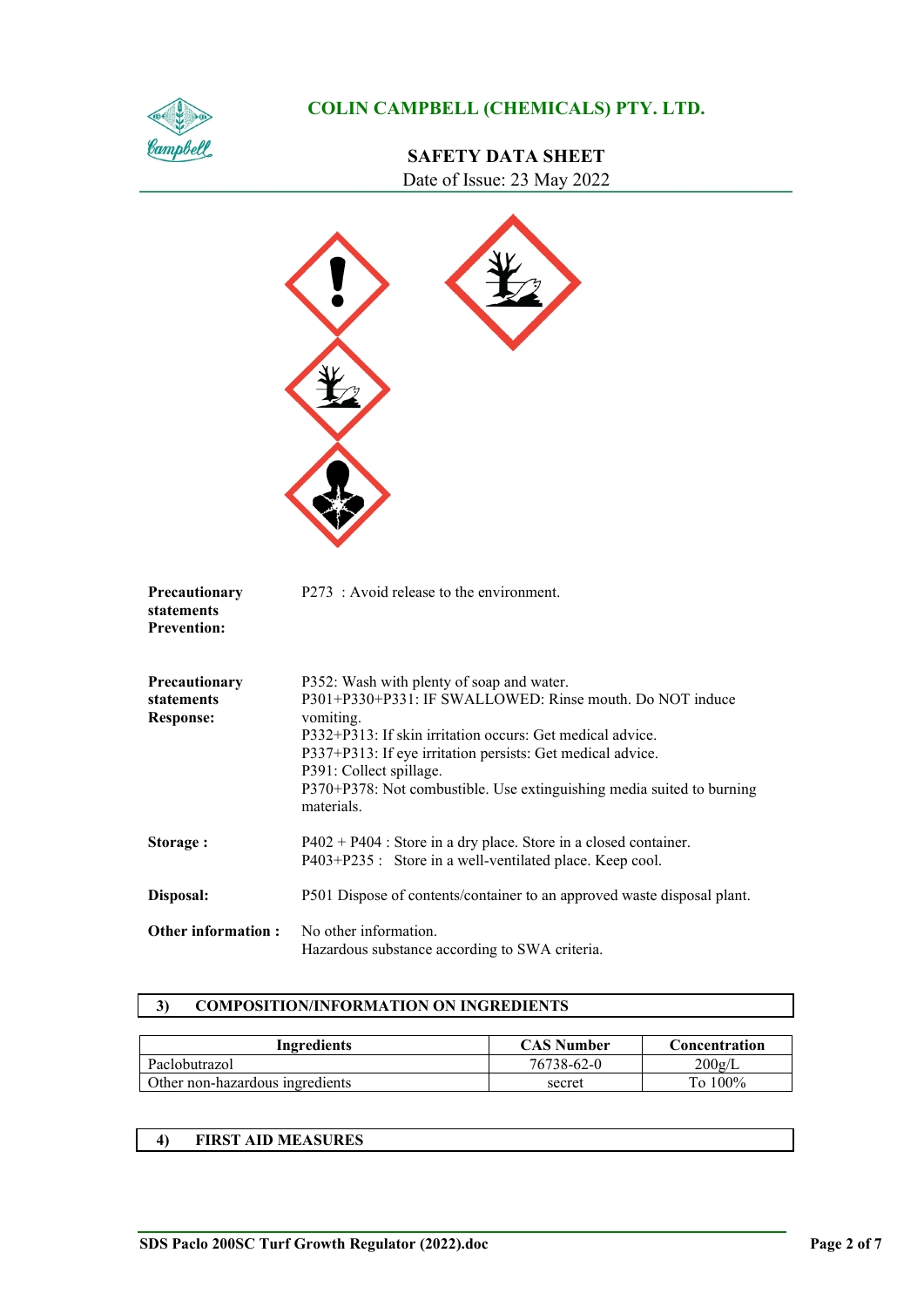

# **SAFETY DATA SHEET** Date of Issue: 23 May 2022

 $\blacktriangle$ 

| Precautionary<br>statements<br><b>Prevention:</b> | P273 : Avoid release to the environment.                                                                                                                                                                                                                                                                                                                        |
|---------------------------------------------------|-----------------------------------------------------------------------------------------------------------------------------------------------------------------------------------------------------------------------------------------------------------------------------------------------------------------------------------------------------------------|
| Precautionary<br>statements<br><b>Response:</b>   | P352: Wash with plenty of soap and water.<br>P301+P330+P331: IF SWALLOWED: Rinse mouth. Do NOT induce<br>vomiting.<br>P332+P313: If skin irritation occurs: Get medical advice.<br>P337+P313: If eye irritation persists: Get medical advice.<br>P391: Collect spillage.<br>P370+P378: Not combustible. Use extinguishing media suited to burning<br>materials. |
| Storage:                                          | P402 + P404 : Store in a dry place. Store in a closed container.<br>P403+P235 : Store in a well-ventilated place. Keep cool.                                                                                                                                                                                                                                    |
| Disposal:                                         | P501 Dispose of contents/container to an approved waste disposal plant.                                                                                                                                                                                                                                                                                         |
| <b>Other information:</b>                         | No other information.<br>Hazardous substance according to SWA criteria.                                                                                                                                                                                                                                                                                         |

## **3) COMPOSITION/INFORMATION ON INGREDIENTS**

| Ingredients                     | <b>CAS Number</b> | Concentration |
|---------------------------------|-------------------|---------------|
| Paclobutrazol                   | 76738-62-0        | $200$ g/L     |
| Other non-hazardous ingredients | secret            | To 100%       |

## **4) FIRST AID MEASURES**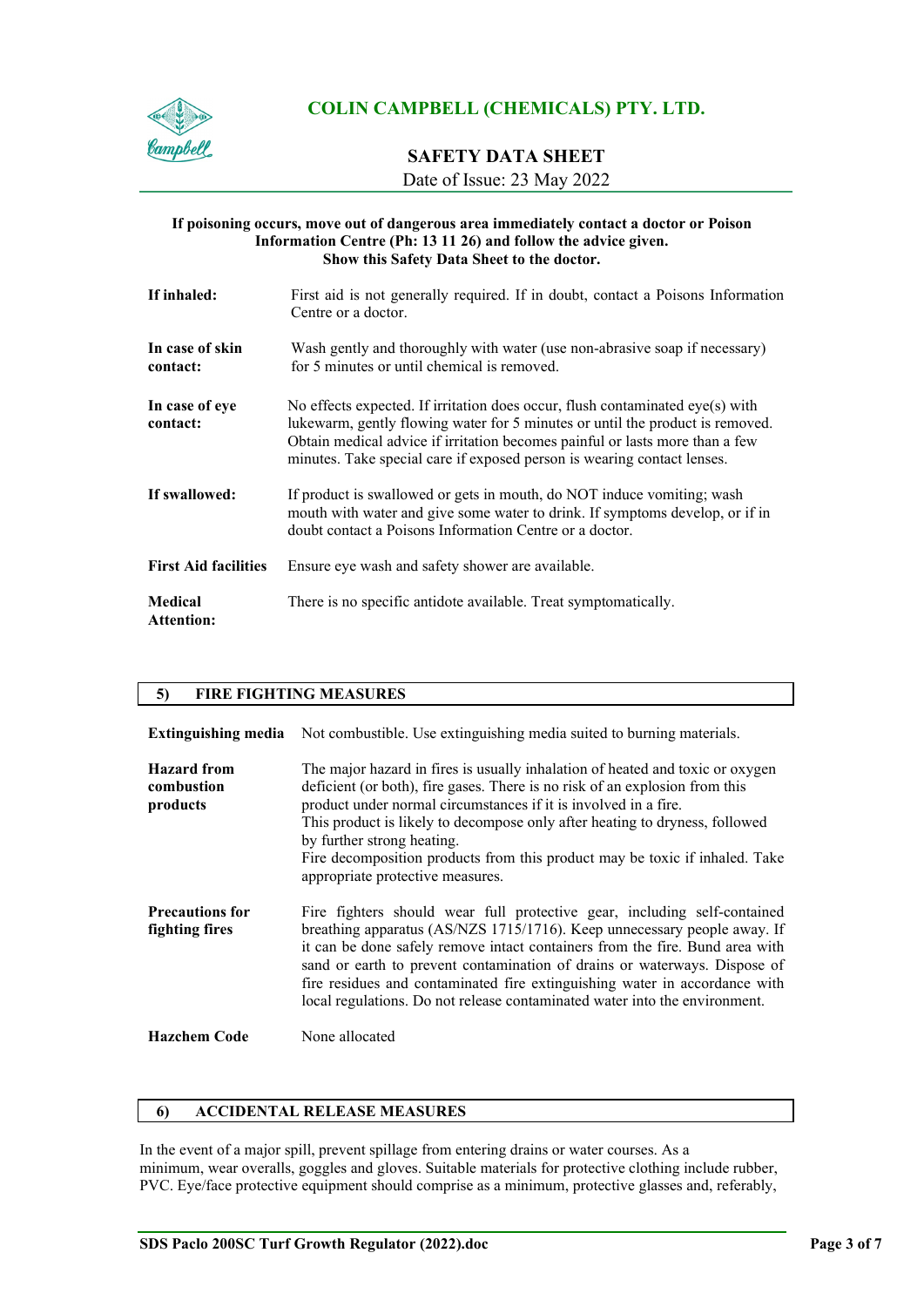

# **SAFETY DATA SHEET**

Date of Issue: 23 May 2022

#### **If poisoning occurs, move out of dangerous area immediately contact a doctor or Poison Information Centre (Ph: 13 11 26) and follow the advice given. Show this Safety Data Sheet to the doctor.**

| If inhaled:                  | First aid is not generally required. If in doubt, contact a Poisons Information<br>Centre or a doctor.                                                                                                                                                                                                                    |
|------------------------------|---------------------------------------------------------------------------------------------------------------------------------------------------------------------------------------------------------------------------------------------------------------------------------------------------------------------------|
| In case of skin<br>contact:  | Wash gently and thoroughly with water (use non-abrasive soap if necessary)<br>for 5 minutes or until chemical is removed.                                                                                                                                                                                                 |
| In case of eye<br>contact:   | No effects expected. If irritation does occur, flush contaminated eye(s) with<br>lukewarm, gently flowing water for 5 minutes or until the product is removed.<br>Obtain medical advice if irritation becomes painful or lasts more than a few<br>minutes. Take special care if exposed person is wearing contact lenses. |
| If swallowed:                | If product is swallowed or gets in mouth, do NOT induce vomiting; wash<br>mouth with water and give some water to drink. If symptoms develop, or if in<br>doubt contact a Poisons Information Centre or a doctor.                                                                                                         |
| <b>First Aid facilities</b>  | Ensure eye wash and safety shower are available.                                                                                                                                                                                                                                                                          |
| Medical<br><b>Attention:</b> | There is no specific antidote available. Treat symptomatically.                                                                                                                                                                                                                                                           |

## **5) FIRE FIGHTING MEASURES**

| <b>Extinguishing media</b>                   | Not combustible. Use extinguishing media suited to burning materials.                                                                                                                                                                                                                                                                                                                                                                                                         |
|----------------------------------------------|-------------------------------------------------------------------------------------------------------------------------------------------------------------------------------------------------------------------------------------------------------------------------------------------------------------------------------------------------------------------------------------------------------------------------------------------------------------------------------|
| <b>Hazard</b> from<br>combustion<br>products | The major hazard in fires is usually inhalation of heated and toxic or oxygen<br>deficient (or both), fire gases. There is no risk of an explosion from this<br>product under normal circumstances if it is involved in a fire.<br>This product is likely to decompose only after heating to dryness, followed<br>by further strong heating.<br>Fire decomposition products from this product may be toxic if inhaled. Take<br>appropriate protective measures.               |
| <b>Precautions for</b><br>fighting fires     | Fire fighters should wear full protective gear, including self-contained<br>breathing apparatus (AS/NZS 1715/1716). Keep unnecessary people away. If<br>it can be done safely remove intact containers from the fire. Bund area with<br>sand or earth to prevent contamination of drains or waterways. Dispose of<br>fire residues and contaminated fire extinguishing water in accordance with<br>local regulations. Do not release contaminated water into the environment. |
| <b>Hazchem Code</b>                          | None allocated                                                                                                                                                                                                                                                                                                                                                                                                                                                                |

## **6) ACCIDENTAL RELEASE MEASURES**

In the event of a major spill, prevent spillage from entering drains or water courses. As a minimum, wear overalls, goggles and gloves. Suitable materials for protective clothing include rubber, PVC. Eye/face protective equipment should comprise as a minimum, protective glasses and, referably,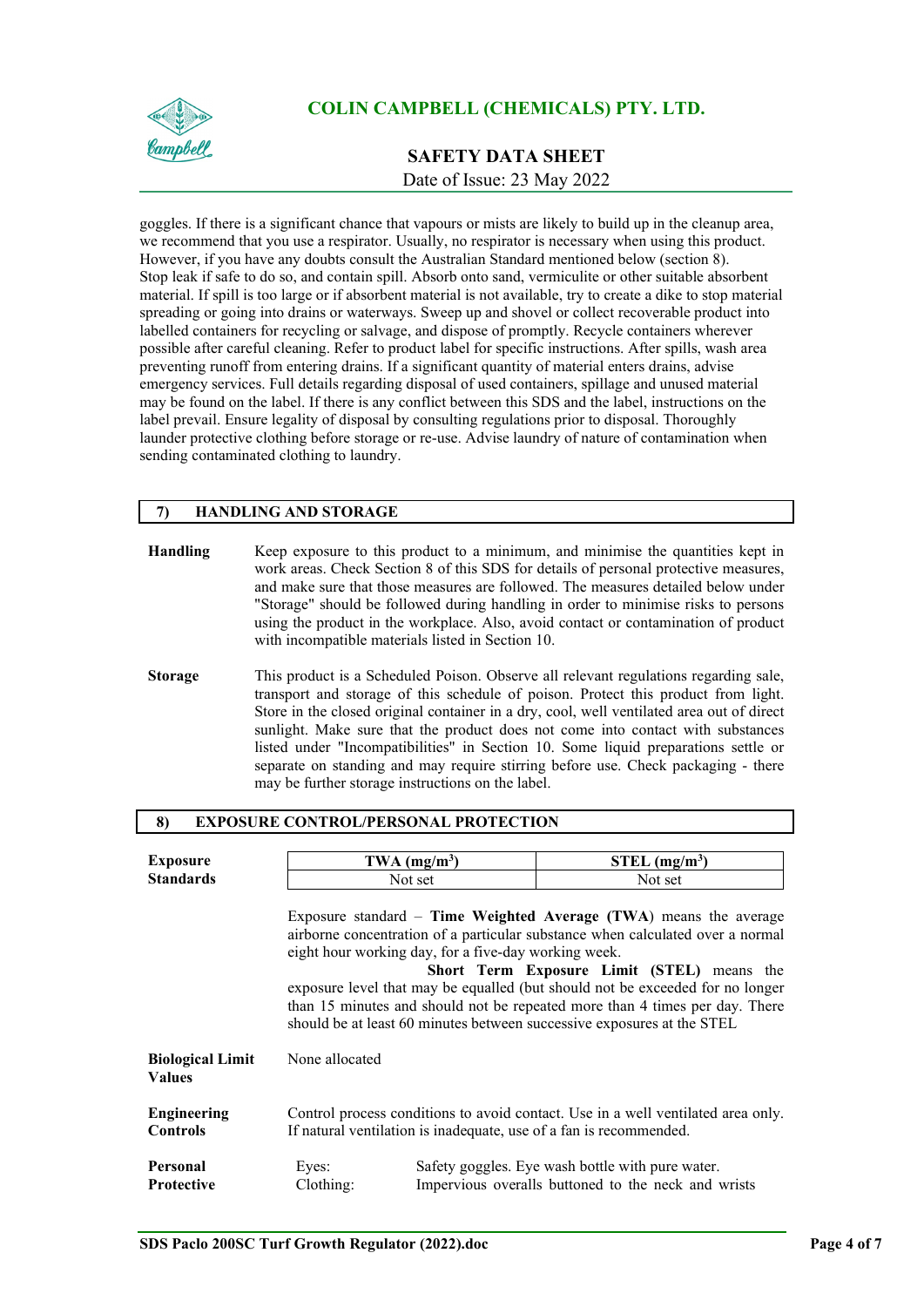

# **SAFETY DATA SHEET** Date of Issue: 23 May 2022

goggles. If there is a significant chance that vapours or mists are likely to build up in the cleanup area, we recommend that you use a respirator. Usually, no respirator is necessary when using this product. However, if you have any doubts consult the Australian Standard mentioned below (section 8). Stop leak if safe to do so, and contain spill. Absorb onto sand, vermiculite or other suitable absorbent material. If spill is too large or if absorbent material is not available, try to create a dike to stop material spreading or going into drains or waterways. Sweep up and shovel or collect recoverable product into labelled containers for recycling or salvage, and dispose of promptly. Recycle containers wherever possible after careful cleaning. Refer to product label for specific instructions. After spills, wash area preventing runoff from entering drains. If a significant quantity of material enters drains, advise emergency services. Full details regarding disposal of used containers, spillage and unused material may be found on the label. If there is any conflict between this SDS and the label, instructions on the label prevail. Ensure legality of disposal by consulting regulations prior to disposal. Thoroughly launder protective clothing before storage or re-use. Advise laundry of nature of contamination when sending contaminated clothing to laundry.

## **7) HANDLING AND STORAGE**

| Handling       | Keep exposure to this product to a minimum, and minimise the quantities kept in<br>work areas. Check Section 8 of this SDS for details of personal protective measures,<br>and make sure that those measures are followed. The measures detailed below under<br>"Storage" should be followed during handling in order to minimise risks to persons<br>using the product in the workplace. Also, avoid contact or contamination of product<br>with incompatible materials listed in Section 10. |
|----------------|------------------------------------------------------------------------------------------------------------------------------------------------------------------------------------------------------------------------------------------------------------------------------------------------------------------------------------------------------------------------------------------------------------------------------------------------------------------------------------------------|
| <b>Storage</b> | This product is a Scheduled Poison. Observe all relevant regulations regarding sale,<br>transport and storage of this schedule of poison. Protect this product from light.<br>Store in the closed original container in a dry, cool, well ventilated area out of direct<br>sunlight. Make sure that the product does not come into contact with substances<br>listed under "Incompatibilities" in Section 10. Some liquid preparations settle or                                               |

separate on standing and may require stirring before use. Check packaging - there

#### **8) EXPOSURE CONTROL/PERSONAL PROTECTION**

may be further storage instructions on the label.

| <b>Exposure</b>                          | TWA $(mg/m3)$                                                                                                                                          |  | $STEL$ (mg/m <sup>3</sup> )                                                                                                                                                                                                                                                                                                                                                                                                                   |
|------------------------------------------|--------------------------------------------------------------------------------------------------------------------------------------------------------|--|-----------------------------------------------------------------------------------------------------------------------------------------------------------------------------------------------------------------------------------------------------------------------------------------------------------------------------------------------------------------------------------------------------------------------------------------------|
| <b>Standards</b>                         | Not set                                                                                                                                                |  | Not set                                                                                                                                                                                                                                                                                                                                                                                                                                       |
|                                          | eight hour working day, for a five-day working week.                                                                                                   |  | Exposure standard $-$ Time Weighted Average (TWA) means the average<br>airborne concentration of a particular substance when calculated over a normal<br>Short Term Exposure Limit (STEL) means the<br>exposure level that may be equalled (but should not be exceeded for no longer<br>than 15 minutes and should not be repeated more than 4 times per day. There<br>should be at least 60 minutes between successive exposures at the STEL |
| <b>Biological Limit</b><br><b>Values</b> | None allocated                                                                                                                                         |  |                                                                                                                                                                                                                                                                                                                                                                                                                                               |
| <b>Engineering</b><br><b>Controls</b>    | Control process conditions to avoid contact. Use in a well ventilated area only.<br>If natural ventilation is inadequate, use of a fan is recommended. |  |                                                                                                                                                                                                                                                                                                                                                                                                                                               |
| Personal<br><b>Protective</b>            | Eyes:<br>Clothing:                                                                                                                                     |  | Safety goggles. Eye wash bottle with pure water.<br>Impervious overalls buttoned to the neck and wrists                                                                                                                                                                                                                                                                                                                                       |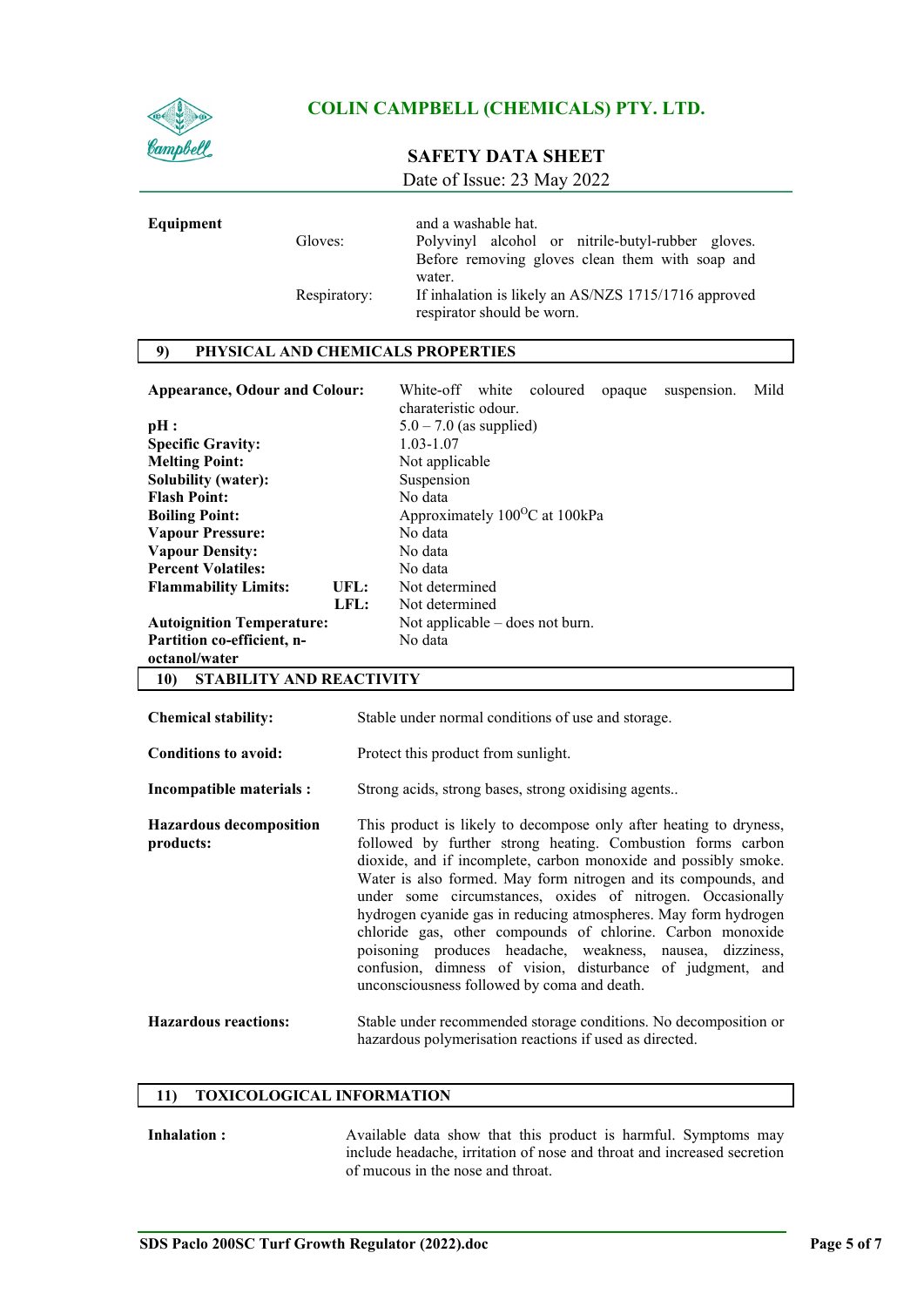

**Equipment** 

# **COLIN CAMPBELL (CHEMICALS) PTY. LTD.**

# **SAFETY DATA SHEET**

Date of Issue: 23 May 2022

| Gloves:      | and a washable hat.<br>Polyvinyl alcohol or nitrile-butyl-rubber gloves.<br>Before removing gloves clean them with soap and |
|--------------|-----------------------------------------------------------------------------------------------------------------------------|
| Respiratory: | water.<br>If inhalation is likely an AS/NZS 1715/1716 approved<br>respirator should be worn.                                |

## **9) PHYSICAL AND CHEMICALS PROPERTIES**

| <b>Appearance, Odour and Colour:</b>   |      | White-off white<br>coloured<br>opaque<br>suspension.<br>charateristic odour. | Mild |
|----------------------------------------|------|------------------------------------------------------------------------------|------|
| pH:                                    |      | $5.0 - 7.0$ (as supplied)                                                    |      |
| <b>Specific Gravity:</b>               |      | 1.03-1.07                                                                    |      |
| <b>Melting Point:</b>                  |      | Not applicable                                                               |      |
| <b>Solubility (water):</b>             |      | Suspension                                                                   |      |
| <b>Flash Point:</b>                    |      | No data                                                                      |      |
| <b>Boiling Point:</b>                  |      | Approximately 100 <sup>o</sup> C at 100kPa                                   |      |
| <b>Vapour Pressure:</b>                |      | No data                                                                      |      |
| <b>Vapour Density:</b>                 |      | No data                                                                      |      |
| <b>Percent Volatiles:</b>              |      | No data                                                                      |      |
| <b>Flammability Limits:</b>            | UFL: | Not determined                                                               |      |
|                                        | LFL: | Not determined                                                               |      |
| <b>Autoignition Temperature:</b>       |      | Not applicable $-$ does not burn.                                            |      |
| Partition co-efficient, n-             |      | No data                                                                      |      |
| octanol/water                          |      |                                                                              |      |
| 10)<br><b>STABILITY AND REACTIVITY</b> |      |                                                                              |      |

| <b>Chemical stability:</b>                  | Stable under normal conditions of use and storage.                                                                                                                                                                                                                                                                                                                                                                                                                                                                                                                                                                                              |
|---------------------------------------------|-------------------------------------------------------------------------------------------------------------------------------------------------------------------------------------------------------------------------------------------------------------------------------------------------------------------------------------------------------------------------------------------------------------------------------------------------------------------------------------------------------------------------------------------------------------------------------------------------------------------------------------------------|
| <b>Conditions to avoid:</b>                 | Protect this product from sunlight.                                                                                                                                                                                                                                                                                                                                                                                                                                                                                                                                                                                                             |
| Incompatible materials :                    | Strong acids, strong bases, strong oxidising agents                                                                                                                                                                                                                                                                                                                                                                                                                                                                                                                                                                                             |
| <b>Hazardous decomposition</b><br>products: | This product is likely to decompose only after heating to dryness,<br>followed by further strong heating. Combustion forms carbon<br>dioxide, and if incomplete, carbon monoxide and possibly smoke.<br>Water is also formed. May form nitrogen and its compounds, and<br>under some circumstances, oxides of nitrogen. Occasionally<br>hydrogen cyanide gas in reducing atmospheres. May form hydrogen<br>chloride gas, other compounds of chlorine. Carbon monoxide<br>poisoning produces headache, weakness, nausea, dizziness,<br>confusion, dimness of vision, disturbance of judgment, and<br>unconsciousness followed by coma and death. |
| <b>Hazardous reactions:</b>                 | Stable under recommended storage conditions. No decomposition or<br>hazardous polymerisation reactions if used as directed.                                                                                                                                                                                                                                                                                                                                                                                                                                                                                                                     |

#### **11) TOXICOLOGICAL INFORMATION**

**Inhalation :** Available data show that this product is harmful. Symptoms may include headache, irritation of nose and throat and increased secretion of mucous in the nose and throat.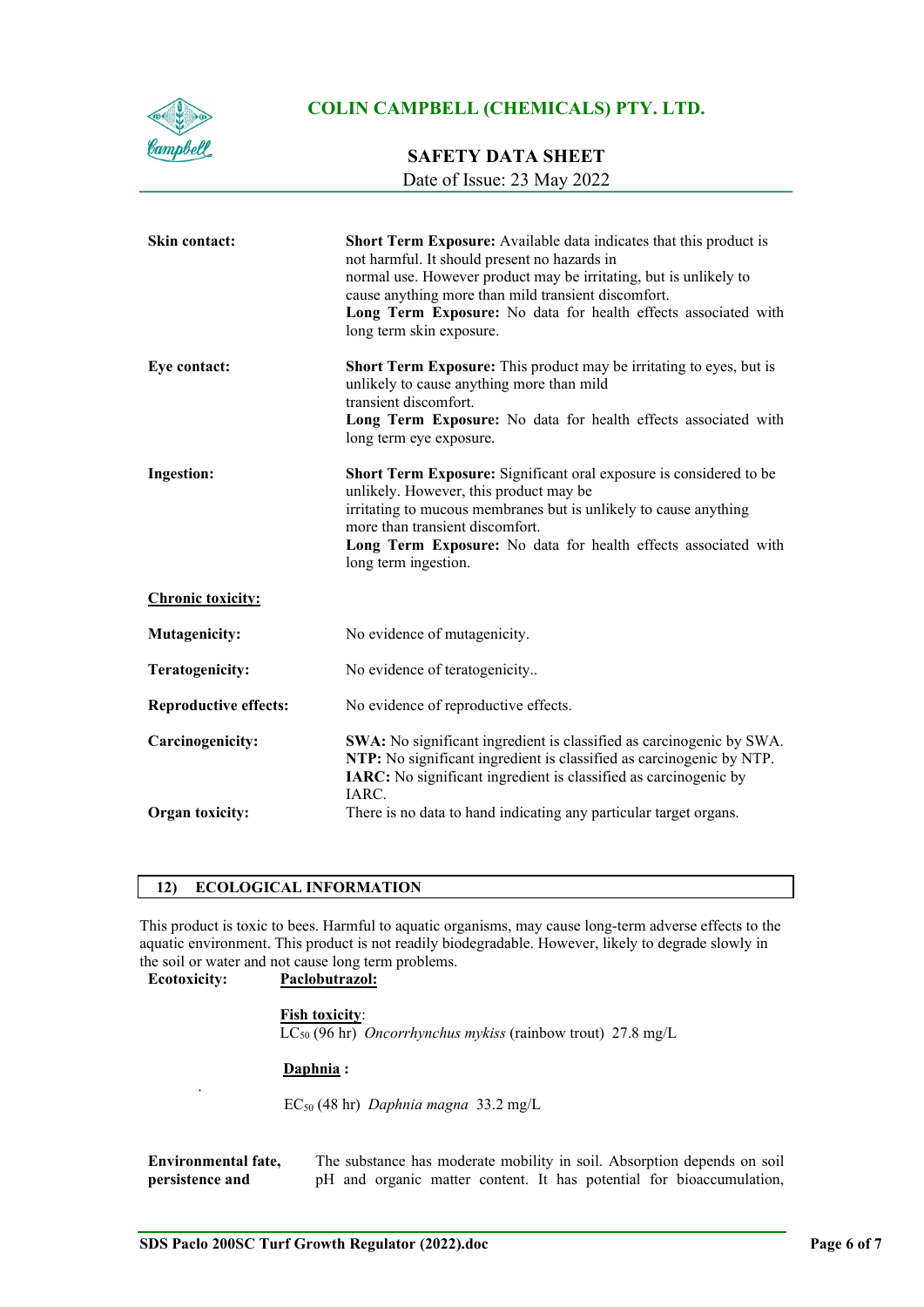

## **SAFETY DATA SHEET**

Date of Issue: 23 May 2022

| <b>Skin contact:</b>         | Short Term Exposure: Available data indicates that this product is<br>not harmful. It should present no hazards in<br>normal use. However product may be irritating, but is unlikely to<br>cause anything more than mild transient discomfort.<br>Long Term Exposure: No data for health effects associated with<br>long term skin exposure. |
|------------------------------|----------------------------------------------------------------------------------------------------------------------------------------------------------------------------------------------------------------------------------------------------------------------------------------------------------------------------------------------|
| Eye contact:                 | <b>Short Term Exposure:</b> This product may be irritating to eyes, but is<br>unlikely to cause anything more than mild<br>transient discomfort.<br>Long Term Exposure: No data for health effects associated with<br>long term eye exposure.                                                                                                |
| Ingestion:                   | Short Term Exposure: Significant oral exposure is considered to be<br>unlikely. However, this product may be<br>irritating to mucous membranes but is unlikely to cause anything<br>more than transient discomfort.<br>Long Term Exposure: No data for health effects associated with<br>long term ingestion.                                |
| <b>Chronic toxicity:</b>     |                                                                                                                                                                                                                                                                                                                                              |
| <b>Mutagenicity:</b>         | No evidence of mutagenicity.                                                                                                                                                                                                                                                                                                                 |
| <b>Teratogenicity:</b>       | No evidence of teratogenicity                                                                                                                                                                                                                                                                                                                |
| <b>Reproductive effects:</b> | No evidence of reproductive effects.                                                                                                                                                                                                                                                                                                         |
| Carcinogenicity:             | SWA: No significant ingredient is classified as carcinogenic by SWA.<br>NTP: No significant ingredient is classified as carcinogenic by NTP.<br>IARC: No significant ingredient is classified as carcinogenic by<br>IARC.                                                                                                                    |
| Organ toxicity:              | There is no data to hand indicating any particular target organs.                                                                                                                                                                                                                                                                            |

## **12) ECOLOGICAL INFORMATION**

This product is toxic to bees. Harmful to aquatic organisms, may cause long-term adverse effects to the aquatic environment. This product is not readily biodegradable. However, likely to degrade slowly in the soil or water and not cause long term problems.

**Ecotoxicity: Paclobutrazol:**

.

#### **Fish toxicity**:

LC50 (96 hr) *Oncorrhynchus mykiss* (rainbow trout) 27.8 mg/L

#### **Daphnia :**

EC50 (48 hr) *Daphnia magna* 33.2 mg/L

**Environmental fate, persistence and**  The substance has moderate mobility in soil. Absorption depends on soil pH and organic matter content. It has potential for bioaccumulation,